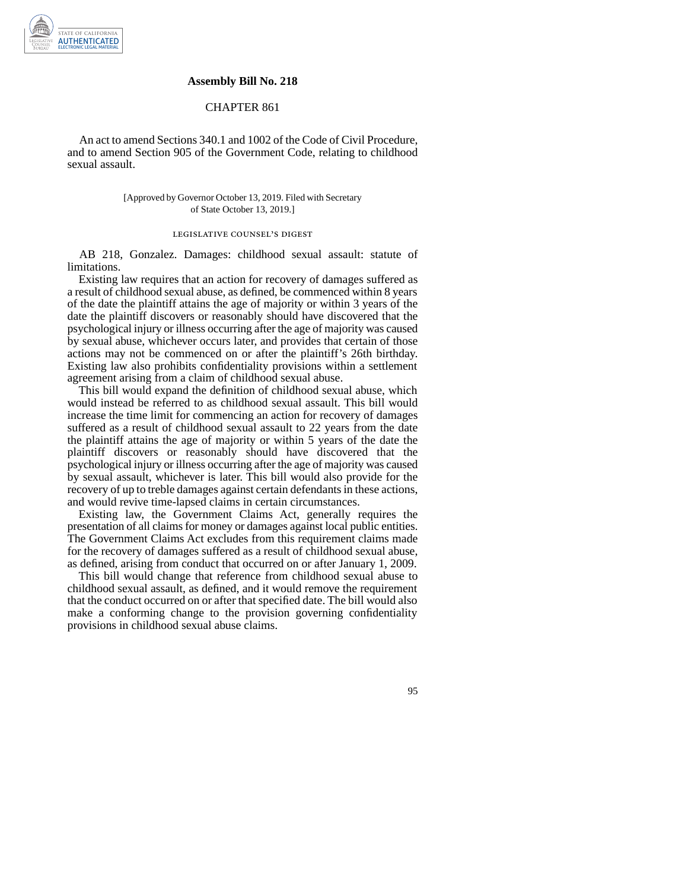

### **Assembly Bill No. 218**

## CHAPTER 861

An act to amend Sections 340.1 and 1002 of the Code of Civil Procedure, and to amend Section 905 of the Government Code, relating to childhood sexual assault.

### [Approved by Governor October 13, 2019. Filed with Secretary of State October 13, 2019.]

# legislative counsel' s digest

AB 218, Gonzalez. Damages: childhood sexual assault: statute of limitations.

Existing law requires that an action for recovery of damages suffered as a result of childhood sexual abuse, as defined, be commenced within 8 years of the date the plaintiff attains the age of majority or within 3 years of the date the plaintiff discovers or reasonably should have discovered that the psychological injury or illness occurring after the age of majority was caused by sexual abuse, whichever occurs later, and provides that certain of those actions may not be commenced on or after the plaintiff's 26th birthday. Existing law also prohibits confidentiality provisions within a settlement agreement arising from a claim of childhood sexual abuse.

This bill would expand the definition of childhood sexual abuse, which would instead be referred to as childhood sexual assault. This bill would increase the time limit for commencing an action for recovery of damages suffered as a result of childhood sexual assault to 22 years from the date the plaintiff attains the age of majority or within 5 years of the date the plaintiff discovers or reasonably should have discovered that the psychological injury or illness occurring after the age of majority was caused by sexual assault, whichever is later. This bill would also provide for the recovery of up to treble damages against certain defendants in these actions, and would revive time-lapsed claims in certain circumstances.

Existing law, the Government Claims Act, generally requires the presentation of all claims for money or damages against local public entities. The Government Claims Act excludes from this requirement claims made for the recovery of damages suffered as a result of childhood sexual abuse, as defined, arising from conduct that occurred on or after January 1, 2009.

This bill would change that reference from childhood sexual abuse to childhood sexual assault, as defined, and it would remove the requirement that the conduct occurred on or after that specified date. The bill would also make a conforming change to the provision governing confidentiality provisions in childhood sexual abuse claims.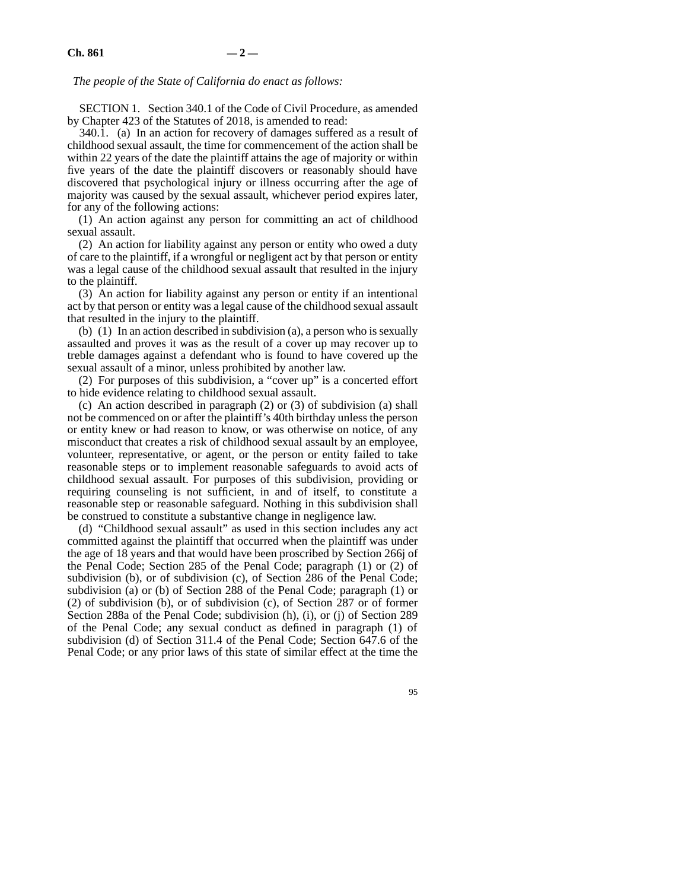## *The people of the State of California do enact as follows:*

SECTION 1. Section 340.1 of the Code of Civil Procedure, as amended by Chapter 423 of the Statutes of 2018, is amended to read:

340.1. (a) In an action for recovery of damages suffered as a result of childhood sexual assault, the time for commencement of the action shall be within 22 years of the date the plaintiff attains the age of majority or within five years of the date the plaintiff discovers or reasonably should have discovered that psychological injury or illness occurring after the age of majority was caused by the sexual assault, whichever period expires later, for any of the following actions:

(1) An action against any person for committing an act of childhood sexual assault.

(2) An action for liability against any person or entity who owed a duty of care to the plaintiff, if a wrongful or negligent act by that person or entity was a legal cause of the childhood sexual assault that resulted in the injury to the plaintiff.

(3) An action for liability against any person or entity if an intentional act by that person or entity was a legal cause of the childhood sexual assault that resulted in the injury to the plaintiff.

(b) (1) In an action described in subdivision (a), a person who is sexually assaulted and proves it was as the result of a cover up may recover up to treble damages against a defendant who is found to have covered up the sexual assault of a minor, unless prohibited by another law.

(2) For purposes of this subdivision, a "cover up" is a concerted effort to hide evidence relating to childhood sexual assault.

(c) An action described in paragraph (2) or (3) of subdivision (a) shall not be commenced on or after the plaintiff's 40th birthday unless the person or entity knew or had reason to know, or was otherwise on notice, of any misconduct that creates a risk of childhood sexual assault by an employee, volunteer, representative, or agent, or the person or entity failed to take reasonable steps or to implement reasonable safeguards to avoid acts of childhood sexual assault. For purposes of this subdivision, providing or requiring counseling is not sufficient, in and of itself, to constitute a reasonable step or reasonable safeguard. Nothing in this subdivision shall be construed to constitute a substantive change in negligence law.

(d) "Childhood sexual assault" as used in this section includes any act committed against the plaintiff that occurred when the plaintiff was under the age of 18 years and that would have been proscribed by Section 266j of the Penal Code; Section 285 of the Penal Code; paragraph (1) or (2) of subdivision (b), or of subdivision (c), of Section 286 of the Penal Code; subdivision (a) or (b) of Section 288 of the Penal Code; paragraph (1) or (2) of subdivision (b), or of subdivision (c), of Section 287 or of former Section 288a of the Penal Code; subdivision (h), (i), or (j) of Section 289 of the Penal Code; any sexual conduct as defined in paragraph (1) of subdivision (d) of Section 311.4 of the Penal Code; Section 647.6 of the Penal Code; or any prior laws of this state of similar effect at the time the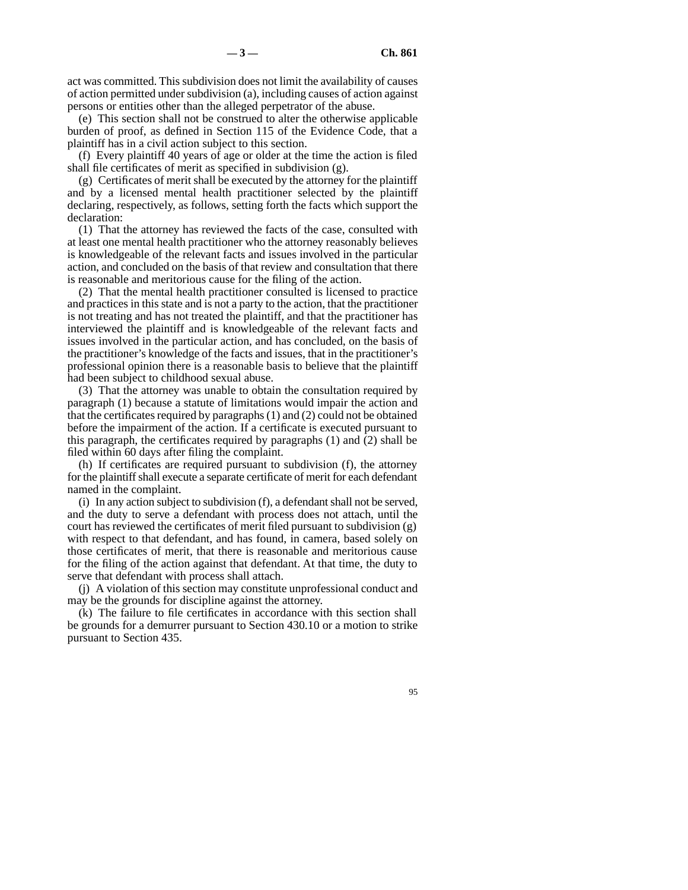act was committed. This subdivision does not limit the availability of causes of action permitted under subdivision (a), including causes of action against persons or entities other than the alleged perpetrator of the abuse.

(e) This section shall not be construed to alter the otherwise applicable burden of proof, as defined in Section 115 of the Evidence Code, that a plaintiff has in a civil action subject to this section.

(f) Every plaintiff 40 years of age or older at the time the action is filed shall file certificates of merit as specified in subdivision (g).

(g) Certificates of merit shall be executed by the attorney for the plaintiff and by a licensed mental health practitioner selected by the plaintiff declaring, respectively, as follows, setting forth the facts which support the declaration:

(1) That the attorney has reviewed the facts of the case, consulted with at least one mental health practitioner who the attorney reasonably believes is knowledgeable of the relevant facts and issues involved in the particular action, and concluded on the basis of that review and consultation that there is reasonable and meritorious cause for the filing of the action.

(2) That the mental health practitioner consulted is licensed to practice and practices in this state and is not a party to the action, that the practitioner is not treating and has not treated the plaintiff, and that the practitioner has interviewed the plaintiff and is knowledgeable of the relevant facts and issues involved in the particular action, and has concluded, on the basis of the practitioner's knowledge of the facts and issues, that in the practitioner's professional opinion there is a reasonable basis to believe that the plaintiff had been subject to childhood sexual abuse.

(3) That the attorney was unable to obtain the consultation required by paragraph (1) because a statute of limitations would impair the action and that the certificates required by paragraphs (1) and (2) could not be obtained before the impairment of the action. If a certificate is executed pursuant to this paragraph, the certificates required by paragraphs (1) and (2) shall be filed within 60 days after filing the complaint.

(h) If certificates are required pursuant to subdivision (f), the attorney for the plaintiff shall execute a separate certificate of merit for each defendant named in the complaint.

(i) In any action subject to subdivision (f), a defendant shall not be served, and the duty to serve a defendant with process does not attach, until the court has reviewed the certificates of merit filed pursuant to subdivision (g) with respect to that defendant, and has found, in camera, based solely on those certificates of merit, that there is reasonable and meritorious cause for the filing of the action against that defendant. At that time, the duty to serve that defendant with process shall attach.

(j) A violation of this section may constitute unprofessional conduct and may be the grounds for discipline against the attorney.

(k) The failure to file certificates in accordance with this section shall be grounds for a demurrer pursuant to Section 430.10 or a motion to strike pursuant to Section 435.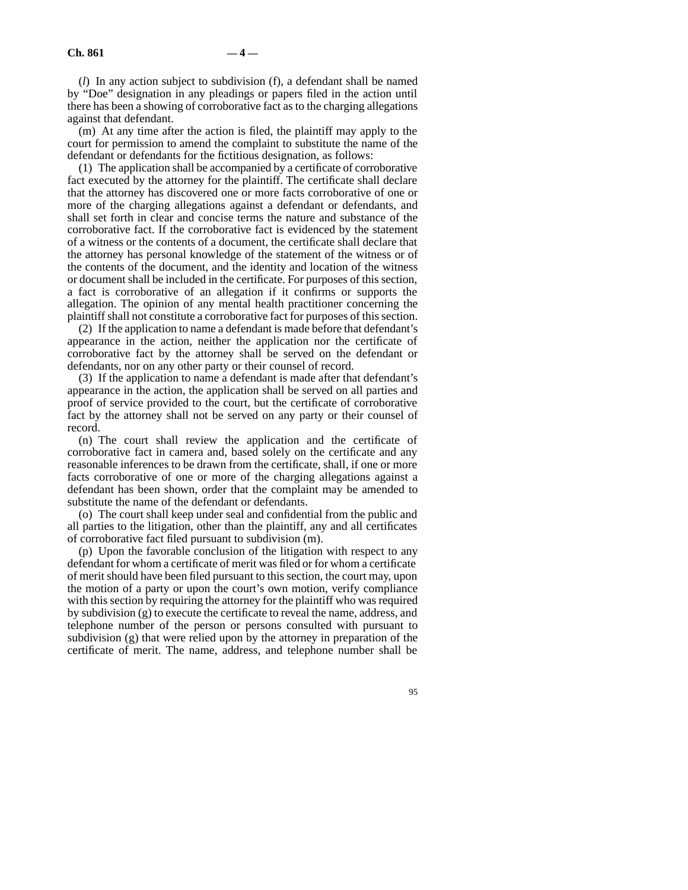(*l*) In any action subject to subdivision (f), a defendant shall be named by "Doe" designation in any pleadings or papers filed in the action until there has been a showing of corroborative fact as to the charging allegations against that defendant.

(m) At any time after the action is filed, the plaintiff may apply to the court for permission to amend the complaint to substitute the name of the defendant or defendants for the fictitious designation, as follows:

(1) The application shall be accompanied by a certificate of corroborative fact executed by the attorney for the plaintiff. The certificate shall declare that the attorney has discovered one or more facts corroborative of one or more of the charging allegations against a defendant or defendants, and shall set forth in clear and concise terms the nature and substance of the corroborative fact. If the corroborative fact is evidenced by the statement of a witness or the contents of a document, the certificate shall declare that the attorney has personal knowledge of the statement of the witness or of the contents of the document, and the identity and location of the witness or document shall be included in the certificate. For purposes of this section, a fact is corroborative of an allegation if it confirms or supports the allegation. The opinion of any mental health practitioner concerning the plaintiff shall not constitute a corroborative fact for purposes of this section.

(2) If the application to name a defendant is made before that defendant's appearance in the action, neither the application nor the certificate of corroborative fact by the attorney shall be served on the defendant or defendants, nor on any other party or their counsel of record.

(3) If the application to name a defendant is made after that defendant's appearance in the action, the application shall be served on all parties and proof of service provided to the court, but the certificate of corroborative fact by the attorney shall not be served on any party or their counsel of record.

(n) The court shall review the application and the certificate of corroborative fact in camera and, based solely on the certificate and any reasonable inferences to be drawn from the certificate, shall, if one or more facts corroborative of one or more of the charging allegations against a defendant has been shown, order that the complaint may be amended to substitute the name of the defendant or defendants.

(o) The court shall keep under seal and confidential from the public and all parties to the litigation, other than the plaintiff, any and all certificates of corroborative fact filed pursuant to subdivision (m).

(p) Upon the favorable conclusion of the litigation with respect to any defendant for whom a certificate of merit was filed or for whom a certificate of merit should have been filed pursuant to this section, the court may, upon the motion of a party or upon the court's own motion, verify compliance with this section by requiring the attorney for the plaintiff who was required by subdivision (g) to execute the certificate to reveal the name, address, and telephone number of the person or persons consulted with pursuant to subdivision (g) that were relied upon by the attorney in preparation of the certificate of merit. The name, address, and telephone number shall be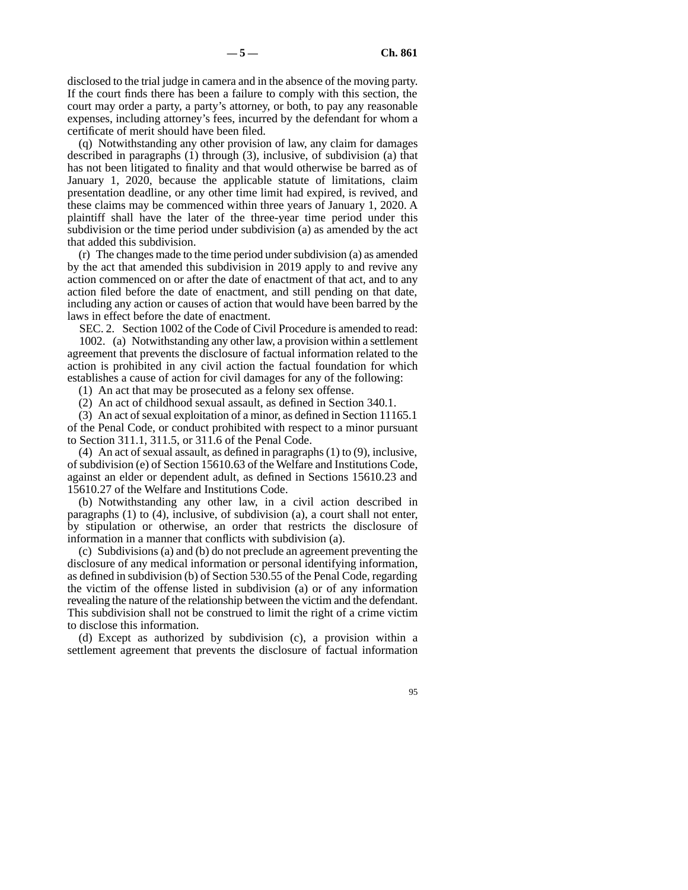disclosed to the trial judge in camera and in the absence of the moving party. If the court finds there has been a failure to comply with this section, the court may order a party, a party's attorney, or both, to pay any reasonable expenses, including attorney's fees, incurred by the defendant for whom a certificate of merit should have been filed.

(q) Notwithstanding any other provision of law, any claim for damages described in paragraphs (1) through (3), inclusive, of subdivision (a) that has not been litigated to finality and that would otherwise be barred as of January 1, 2020, because the applicable statute of limitations, claim presentation deadline, or any other time limit had expired, is revived, and these claims may be commenced within three years of January 1, 2020. A plaintiff shall have the later of the three-year time period under this subdivision or the time period under subdivision (a) as amended by the act that added this subdivision.

(r) The changes made to the time period under subdivision (a) as amended by the act that amended this subdivision in 2019 apply to and revive any action commenced on or after the date of enactment of that act, and to any action filed before the date of enactment, and still pending on that date, including any action or causes of action that would have been barred by the laws in effect before the date of enactment.

SEC. 2. Section 1002 of the Code of Civil Procedure is amended to read: 1002. (a) Notwithstanding any other law, a provision within a settlement

agreement that prevents the disclosure of factual information related to the action is prohibited in any civil action the factual foundation for which establishes a cause of action for civil damages for any of the following:

(1) An act that may be prosecuted as a felony sex offense.

(2) An act of childhood sexual assault, as defined in Section 340.1.

(3) An act of sexual exploitation of a minor, as defined in Section 11165.1 of the Penal Code, or conduct prohibited with respect to a minor pursuant to Section 311.1, 311.5, or 311.6 of the Penal Code.

(4) An act of sexual assault, as defined in paragraphs (1) to (9), inclusive, of subdivision (e) of Section 15610.63 of the Welfare and Institutions Code, against an elder or dependent adult, as defined in Sections 15610.23 and 15610.27 of the Welfare and Institutions Code.

(b) Notwithstanding any other law, in a civil action described in paragraphs (1) to (4), inclusive, of subdivision (a), a court shall not enter, by stipulation or otherwise, an order that restricts the disclosure of information in a manner that conflicts with subdivision (a).

(c) Subdivisions (a) and (b) do not preclude an agreement preventing the disclosure of any medical information or personal identifying information, as defined in subdivision (b) of Section 530.55 of the Penal Code, regarding the victim of the offense listed in subdivision (a) or of any information revealing the nature of the relationship between the victim and the defendant. This subdivision shall not be construed to limit the right of a crime victim to disclose this information.

(d) Except as authorized by subdivision (c), a provision within a settlement agreement that prevents the disclosure of factual information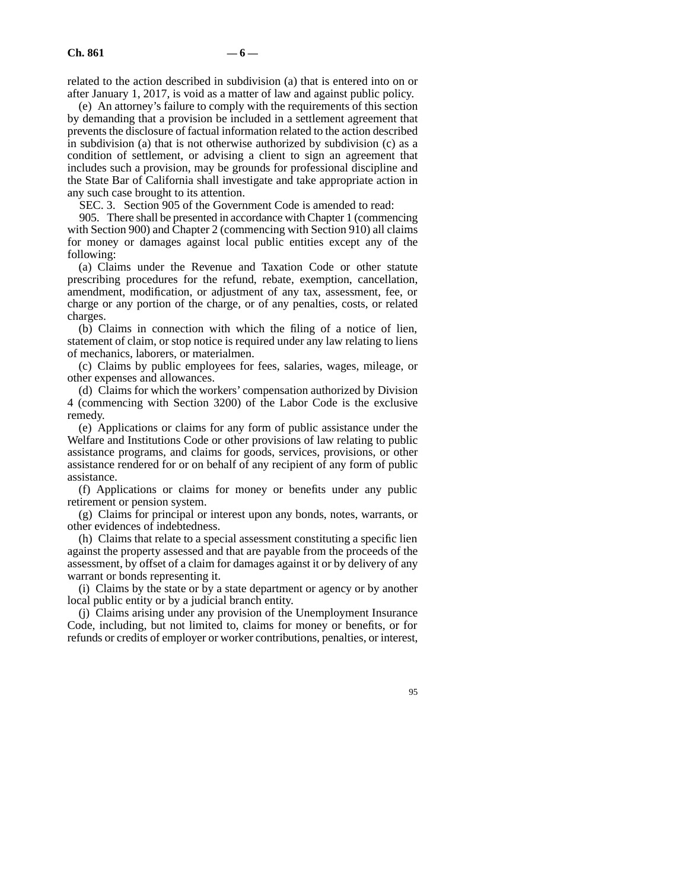related to the action described in subdivision (a) that is entered into on or after January 1, 2017, is void as a matter of law and against public policy.

(e) An attorney's failure to comply with the requirements of this section by demanding that a provision be included in a settlement agreement that prevents the disclosure of factual information related to the action described in subdivision (a) that is not otherwise authorized by subdivision (c) as a condition of settlement, or advising a client to sign an agreement that includes such a provision, may be grounds for professional discipline and the State Bar of California shall investigate and take appropriate action in any such case brought to its attention.

SEC. 3. Section 905 of the Government Code is amended to read:

905. There shall be presented in accordance with Chapter 1 (commencing with Section 900) and Chapter 2 (commencing with Section 910) all claims for money or damages against local public entities except any of the following:

(a) Claims under the Revenue and Taxation Code or other statute prescribing procedures for the refund, rebate, exemption, cancellation, amendment, modification, or adjustment of any tax, assessment, fee, or charge or any portion of the charge, or of any penalties, costs, or related charges.

(b) Claims in connection with which the filing of a notice of lien, statement of claim, or stop notice is required under any law relating to liens of mechanics, laborers, or materialmen.

(c) Claims by public employees for fees, salaries, wages, mileage, or other expenses and allowances.

(d) Claims for which the workers' compensation authorized by Division 4 (commencing with Section 3200) of the Labor Code is the exclusive remedy.

(e) Applications or claims for any form of public assistance under the Welfare and Institutions Code or other provisions of law relating to public assistance programs, and claims for goods, services, provisions, or other assistance rendered for or on behalf of any recipient of any form of public assistance.

(f) Applications or claims for money or benefits under any public retirement or pension system.

(g) Claims for principal or interest upon any bonds, notes, warrants, or other evidences of indebtedness.

(h) Claims that relate to a special assessment constituting a specific lien against the property assessed and that are payable from the proceeds of the assessment, by offset of a claim for damages against it or by delivery of any warrant or bonds representing it.

(i) Claims by the state or by a state department or agency or by another local public entity or by a judicial branch entity.

(j) Claims arising under any provision of the Unemployment Insurance Code, including, but not limited to, claims for money or benefits, or for refunds or credits of employer or worker contributions, penalties, or interest,